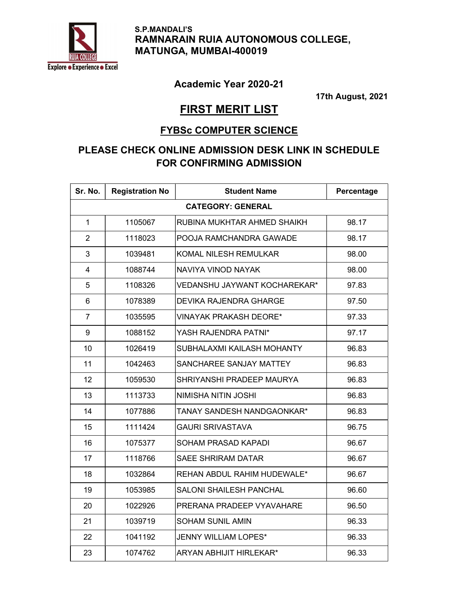

 S.P.MANDALI'S RAMNARAIN RUIA AUTONOMOUS COLLEGE, MATUNGA, MUMBAI-400019

## Academic Year 2020-21

17th August, 2021

## FIRST MERIT LIST

## FYBSc COMPUTER SCIENCE

## PLEASE CHECK ONLINE ADMISSION DESK LINK IN SCHEDULE FOR CONFIRMING ADMISSION

| Sr. No.                  | <b>Registration No</b> | <b>Student Name</b>            | Percentage |  |  |
|--------------------------|------------------------|--------------------------------|------------|--|--|
| <b>CATEGORY: GENERAL</b> |                        |                                |            |  |  |
| $\mathbf{1}$             | 1105067                | RUBINA MUKHTAR AHMED SHAIKH    | 98.17      |  |  |
| $\overline{2}$           | 1118023                | POOJA RAMCHANDRA GAWADE        | 98.17      |  |  |
| 3                        | 1039481                | KOMAL NILESH REMULKAR          | 98.00      |  |  |
| $\overline{4}$           | 1088744                | NAVIYA VINOD NAYAK             | 98.00      |  |  |
| 5                        | 1108326                | VEDANSHU JAYWANT KOCHAREKAR*   | 97.83      |  |  |
| 6                        | 1078389                | <b>DEVIKA RAJENDRA GHARGE</b>  | 97.50      |  |  |
| $\overline{7}$           | 1035595                | <b>VINAYAK PRAKASH DEORE*</b>  | 97.33      |  |  |
| 9                        | 1088152                | YASH RAJENDRA PATNI*           | 97.17      |  |  |
| 10                       | 1026419                | SUBHALAXMI KAILASH MOHANTY     | 96.83      |  |  |
| 11                       | 1042463                | SANCHAREE SANJAY MATTEY        | 96.83      |  |  |
| 12                       | 1059530                | SHRIYANSHI PRADEEP MAURYA      | 96.83      |  |  |
| 13                       | 1113733                | NIMISHA NITIN JOSHI            | 96.83      |  |  |
| 14                       | 1077886                | TANAY SANDESH NANDGAONKAR*     | 96.83      |  |  |
| 15                       | 1111424                | <b>GAURI SRIVASTAVA</b>        | 96.75      |  |  |
| 16                       | 1075377                | <b>SOHAM PRASAD KAPADI</b>     | 96.67      |  |  |
| 17                       | 1118766                | <b>SAEE SHRIRAM DATAR</b>      | 96.67      |  |  |
| 18                       | 1032864                | REHAN ABDUL RAHIM HUDEWALE*    | 96.67      |  |  |
| 19                       | 1053985                | <b>SALONI SHAILESH PANCHAL</b> | 96.60      |  |  |
| 20                       | 1022926                | PRERANA PRADEEP VYAVAHARE      | 96.50      |  |  |
| 21                       | 1039719                | <b>SOHAM SUNIL AMIN</b>        | 96.33      |  |  |
| 22                       | 1041192                | <b>JENNY WILLIAM LOPES*</b>    | 96.33      |  |  |
| 23                       | 1074762                | <b>ARYAN ABHIJIT HIRLEKAR*</b> | 96.33      |  |  |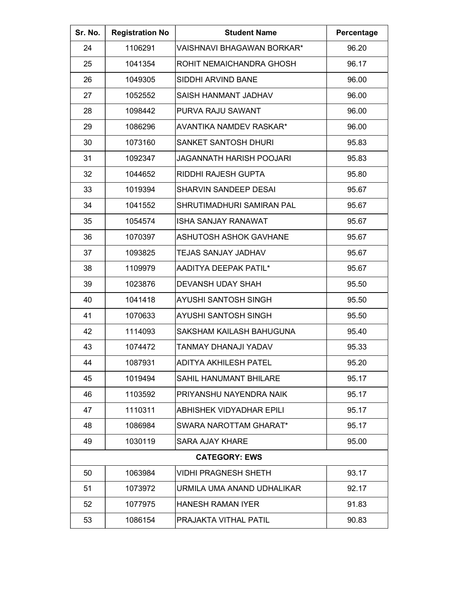| Sr. No.              | <b>Registration No</b> | <b>Student Name</b>               | Percentage |  |
|----------------------|------------------------|-----------------------------------|------------|--|
| 24                   | 1106291                | <b>VAISHNAVI BHAGAWAN BORKAR*</b> | 96.20      |  |
| 25                   | 1041354                | <b>ROHIT NEMAICHANDRA GHOSH</b>   | 96.17      |  |
| 26                   | 1049305                | SIDDHI ARVIND BANE                | 96.00      |  |
| 27                   | 1052552                | SAISH HANMANT JADHAV              | 96.00      |  |
| 28                   | 1098442                | PURVA RAJU SAWANT                 | 96.00      |  |
| 29                   | 1086296                | <b>AVANTIKA NAMDEV RASKAR*</b>    | 96.00      |  |
| 30                   | 1073160                | <b>SANKET SANTOSH DHURI</b>       | 95.83      |  |
| 31                   | 1092347                | <b>JAGANNATH HARISH POOJARI</b>   | 95.83      |  |
| 32                   | 1044652                | <b>RIDDHI RAJESH GUPTA</b>        | 95.80      |  |
| 33                   | 1019394                | <b>SHARVIN SANDEEP DESAI</b>      | 95.67      |  |
| 34                   | 1041552                | SHRUTIMADHURI SAMIRAN PAL         | 95.67      |  |
| 35                   | 1054574                | <b>ISHA SANJAY RANAWAT</b>        | 95.67      |  |
| 36                   | 1070397                | <b>ASHUTOSH ASHOK GAVHANE</b>     | 95.67      |  |
| 37                   | 1093825                | TEJAS SANJAY JADHAV               | 95.67      |  |
| 38                   | 1109979                | AADITYA DEEPAK PATIL*             | 95.67      |  |
| 39                   | 1023876                | <b>DEVANSH UDAY SHAH</b>          | 95.50      |  |
| 40                   | 1041418                | <b>AYUSHI SANTOSH SINGH</b>       | 95.50      |  |
| 41                   | 1070633                | <b>AYUSHI SANTOSH SINGH</b>       | 95.50      |  |
| 42                   | 1114093                | SAKSHAM KAILASH BAHUGUNA          | 95.40      |  |
| 43                   | 1074472                | TANMAY DHANAJI YADAV              | 95.33      |  |
| 44                   | 1087931                | <b>ADITYA AKHILESH PATEL</b>      | 95.20      |  |
| 45                   | 1019494                | <b>SAHIL HANUMANT BHILARE</b>     | 95.17      |  |
| 46                   | 1103592                | PRIYANSHU NAYENDRA NAIK           | 95.17      |  |
| 47                   | 1110311                | <b>ABHISHEK VIDYADHAR EPILI</b>   | 95.17      |  |
| 48                   | 1086984                | SWARA NAROTTAM GHARAT*            | 95.17      |  |
| 49                   | 1030119                | <b>SARA AJAY KHARE</b>            | 95.00      |  |
| <b>CATEGORY: EWS</b> |                        |                                   |            |  |
| 50                   | 1063984                | <b>VIDHI PRAGNESH SHETH</b>       | 93.17      |  |
| 51                   | 1073972                | URMILA UMA ANAND UDHALIKAR        | 92.17      |  |
| 52                   | 1077975                | HANESH RAMAN IYER                 | 91.83      |  |
| 53                   | 1086154                | <b>PRAJAKTA VITHAL PATIL</b>      | 90.83      |  |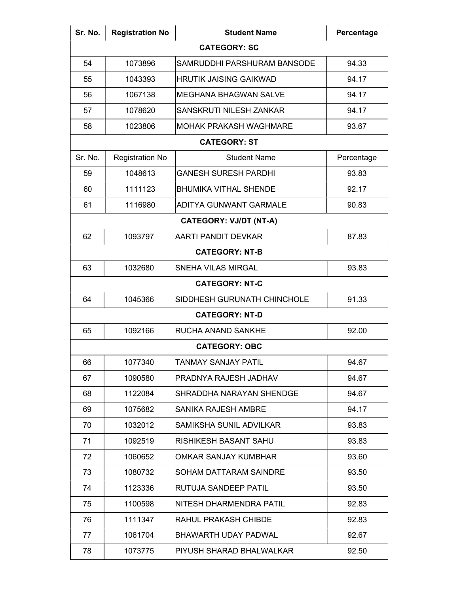| Sr. No.             | <b>Registration No</b> | <b>Student Name</b>           | Percentage |  |  |  |
|---------------------|------------------------|-------------------------------|------------|--|--|--|
| <b>CATEGORY: SC</b> |                        |                               |            |  |  |  |
| 54                  | 1073896                | SAMRUDDHI PARSHURAM BANSODE   | 94.33      |  |  |  |
| 55                  | 1043393                | <b>HRUTIK JAISING GAIKWAD</b> | 94.17      |  |  |  |
| 56                  | 1067138                | <b>MEGHANA BHAGWAN SALVE</b>  | 94.17      |  |  |  |
| 57                  | 1078620                | SANSKRUTI NILESH ZANKAR       | 94.17      |  |  |  |
| 58                  | 1023806                | <b>MOHAK PRAKASH WAGHMARE</b> | 93.67      |  |  |  |
|                     |                        | <b>CATEGORY: ST</b>           |            |  |  |  |
| Sr. No.             | <b>Registration No</b> | <b>Student Name</b>           | Percentage |  |  |  |
| 59                  | 1048613                | <b>GANESH SURESH PARDHI</b>   | 93.83      |  |  |  |
| 60                  | 1111123                | <b>BHUMIKA VITHAL SHENDE</b>  | 92.17      |  |  |  |
| 61                  | 1116980                | <b>ADITYA GUNWANT GARMALE</b> | 90.83      |  |  |  |
|                     |                        | <b>CATEGORY: VJ/DT (NT-A)</b> |            |  |  |  |
| 62                  | 1093797                | <b>AARTI PANDIT DEVKAR</b>    | 87.83      |  |  |  |
|                     |                        | <b>CATEGORY: NT-B</b>         |            |  |  |  |
| 63                  | 1032680                | SNEHA VILAS MIRGAL            | 93.83      |  |  |  |
|                     |                        | <b>CATEGORY: NT-C</b>         |            |  |  |  |
| 64                  | 1045366                | SIDDHESH GURUNATH CHINCHOLE   | 91.33      |  |  |  |
|                     |                        | <b>CATEGORY: NT-D</b>         |            |  |  |  |
| 65                  | 1092166                | RUCHA ANAND SANKHE            | 92.00      |  |  |  |
|                     |                        | <b>CATEGORY: OBC</b>          |            |  |  |  |
| 66                  | 1077340                | TANMAY SANJAY PATIL           | 94.67      |  |  |  |
| 67                  | 1090580                | PRADNYA RAJESH JADHAV         | 94.67      |  |  |  |
| 68                  | 1122084                | SHRADDHA NARAYAN SHENDGE      | 94.67      |  |  |  |
| 69                  | 1075682                | SANIKA RAJESH AMBRE           | 94.17      |  |  |  |
| 70                  | 1032012                | SAMIKSHA SUNIL ADVILKAR       | 93.83      |  |  |  |
| 71                  | 1092519                | <b>RISHIKESH BASANT SAHU</b>  | 93.83      |  |  |  |
| 72                  | 1060652                | OMKAR SANJAY KUMBHAR          | 93.60      |  |  |  |
| 73                  | 1080732                | SOHAM DATTARAM SAINDRE        | 93.50      |  |  |  |
| 74                  | 1123336                | RUTUJA SANDEEP PATIL          | 93.50      |  |  |  |
| 75                  | 1100598                | NITESH DHARMENDRA PATIL       | 92.83      |  |  |  |
| 76                  | 1111347                | RAHUL PRAKASH CHIBDE          | 92.83      |  |  |  |
| 77                  | 1061704                | BHAWARTH UDAY PADWAL          | 92.67      |  |  |  |
| 78                  | 1073775                | PIYUSH SHARAD BHALWALKAR      | 92.50      |  |  |  |